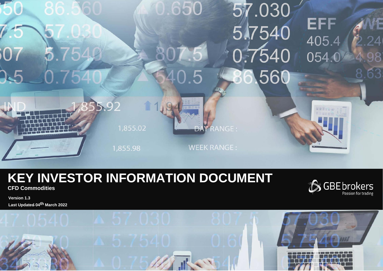

# **KEY INVESTOR INFORMATION DOCUMENT**

**CFD Commodities**

SGBE brokers

**Version 1.3 Last Updated 04th March 2022**

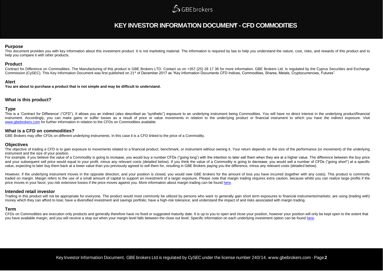# **SGBEbrokers**

## **KEY INVESTOR INFORMATION DOCUMENT - CFD COMMODITIES**

#### **Purpose**

This document provides you with key information about this investment product. It is not marketing material. The information is required by law to help you understand the nature, cost, risks, and rewards of this product an help you compare it with other products.

### **Product**

Contract for Difference on Commodities. The Manufacturing of this product is GBE Brokers LTD. Contact us on +357 (25) 28 17 36 for more information. GBE Brokers Ltd. Is regulated by the Cyprus Securities and Exchange Commission (CySEC). This Key Information Document was first published on 21<sup>st</sup> of December 2017 as "Key Information Documents CFD Indices, Commodities, Shares, Metals, Cryptocurrencies, Futures".

### **Alert**

**You are about to purchase a product that is not simple and may be difficult to understand.**

### **What is this product?**

### **Type**

This is a 'Contract for Difference' ("CFD"). It allows you an indirect (also described as "synthetic") exposure to an underlying instrument being Commodities. You will have no direct interest in the underlying product/fina instrument. Accordingly, you can make gains or suffer losses as a result of price or value movements in relation to the underlying product or financial instrument to which you have the indirect exposure. Visit [www.gbebrokers.com](http://www.gbebrokers.com/) for further information in relation to the CFDs on Commodities available.

### **What is a CFD on commodities?**

GBE Brokers may offer CFDs on different underlying instruments. In this case it is a CFD linked to the price of a Commodity.

### **Objectives**

The objective of trading a CFD is to gain exposure to movements related to a financial product, benchmark, or instrument without owning it. Your return depends on the size of the performance (or movement) of the underlying instrument and the size of your position.

For example, if you believe the value of a Commodity is going to increase, you would buy a number CFDs ("going long') with the intention to later sell them when they are at a higher value. The difference between the buy pr and your subsequent sell price would equal to your profit, minus any relevant costs (detailed below). If you think the value of a Commodity is going to decrease, you would sell a number of CFDs ("going short") at a specific value, expecting to later buy them back at a lower value than you previously agreed to sell them for, resulting in GBE Brokers paying you the difference, minus any relevant costs (detailed below).

However, if the underlying instrument moves in the opposite direction, and your position is closed, you would owe GBE brokers for the amount of loss you have incurred (together with any costs). This product is commonly traded on margin. Margin refers to the use of a small amount of capital to support an investment of a larger exposure. Please note that margin trading requires extra caution, because whilst you can realize large profits if price moves in your favor, you risk extensive losses if the price moves against you. More information about margin trading can be foun[d here.](https://gbebrokers.com/documents/product_specifications.pdf)

### **Intended retail investor**

Trading in this product will not be appropriate for everyone. The product would most commonly be utilized by persons who want to generally gain short term exposures to financial instruments/markets; are using (trading with money which they can afford to lose; have a diversified investment and savings portfolio; have a high-risk tolerance; and understand the impact of and risks associated with margin trading.

### **Term**

CFDs on Commodities are execution only products and generally therefore have no fixed or suggested maturity date. It is up to you to open and close your position, however your position will only be kept open to the extent you have available margin, and you will receive a stop out when your margin level falls between the close out level. Specific information on each underlying investment option can be foun[d here.](https://gbebrokers.com/documents/product_specifications.pdf)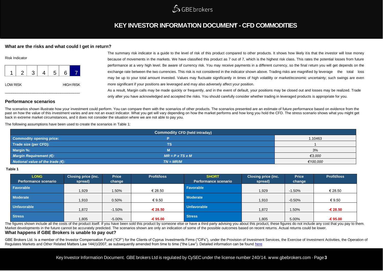

# **KEY INVESTOR INFORMATION DOCUMENT - CFD COMMODITIES**

### **What are the risks and what could I get in return?**

| <b>Risk Indicator</b> |   |   |  |   |   |                  |
|-----------------------|---|---|--|---|---|------------------|
|                       | 2 | 3 |  | 5 | 6 |                  |
| <b>LOW RISK</b>       |   |   |  |   |   | <b>HIGH RISK</b> |

The summary risk indicator is a guide to the level of risk of this product compared to other products. It shows how likely itis that the investor will lose money because of movements in the markets. We have classified this product as 7 out of 7, which is the highest risk class. This rates the potential losses from future performance at a very high level. Be aware of currency risk. You may receive payments in a different currency, so the final return you will get depends on the exchange rate between the two currencies. This risk is not considered in the indicator shown above. Trading risks are magnified by leverage the total loss may be up to your total amount invested. Values may fluctuate significantly in times of high volatility or market/economic uncertainty; such swings are even more significant if your positions are leveraged and may also adversely affect your position. As a result, Margin calls may be made quickly or frequently, and in the event of default, your positions may be closed out and losses may be realized. Trade only after you have acknowledged and accepted the risks. You should carefully consider whether trading in leveraged products is appropriate for you.

### **Performance scenarios**

The scenarios shown illustrate how your investment could perform. You can compare them with the scenarios of other products. The scenarios presented are an estimate of future performance based on evidence from the past on how the value of this investment varies and are not an exact indicator. What you get will vary depending on how the market performs and how long you hold the CFD. The stress scenario shows what you might get back in extreme market circumstances, and it does not consider the situation where we are not able to pay you.

The following assumptions have been used to create the scenarios in Table 1:

| <b>Commodity CFD (held intraday)</b>       |                             |          |  |  |
|--------------------------------------------|-----------------------------|----------|--|--|
| <b>Commodity opening price:</b>            |                             | 1.10463  |  |  |
| Trade size (per CFD):                      | $\overline{\text{TS}}$      |          |  |  |
| Margin %:                                  | M                           | 3%       |  |  |
| <b>Margin Requirement (€):</b>             | $MR = P \times TS \times M$ | €3.000   |  |  |
| Notional value of the trade $(\epsilon)$ : | $TN = MR/M$                 | €100,000 |  |  |

#### **Table 1**

| <b>LONG</b><br><b>Performance scenario</b> | <b>Closing price (inc.</b><br>spread) | <b>Price</b><br>change | <b>Profit/loss</b> | <b>SHORT</b><br>Performance scenario | <b>Closing price (inc.</b><br>spread) | <b>Price</b><br>change | <b>Profit/loss</b> |
|--------------------------------------------|---------------------------------------|------------------------|--------------------|--------------------------------------|---------------------------------------|------------------------|--------------------|
| <b>Favorable</b>                           | 1,929                                 | 1.50%                  | € 28.50            | Favorable                            | 1,929                                 | $-1.50%$               | € 28.50            |
| <b>Moderate</b>                            | 1,910                                 | 0.50%                  | € 9.50             | <b>Moderate</b>                      | 1,910                                 | $-0.50%$               | € 9.50             |
| <b>Unfavorable</b>                         | 1,872                                 | $-1.50%$               | $-628.50$          | <b>Unfavorable</b>                   | 1,872                                 | 1.50%                  | -€ 28.50           |
| <b>Stress</b>                              | 1,805                                 | $-5.00%$               | $-695.00$          | <b>Stress</b>                        | 1,805                                 | 5.00%                  | $-695.00$          |

The figures shown include all the costs of the product itself. If you have been sold this product by someone else or have a third party advising you about this product, these figures do not include any cost that you pay to Market developments in the future cannot be accurately predicted. The scenarios shown are only an indication of some of the possible outcomes based on recent returns. Actual returns could be lower. **What happens if GBE Brokers is unable to pay out?**

GBE Brokers Ltd. Is a member of the Investor Compensation Fund ("ICF") for the Clients of Cyprus Investments Firms ("CIFs"), under the Provision of Investment Services, the Exercise of Investment Activities, the Operation Regulates Markets and Other Related Matters Law 144(I)/2007, as subsequently amended from time to time ("the Law"). Detailed information can be found [here](https://gbebrokers.com/about-gbe-brokers/legal-documentation/)